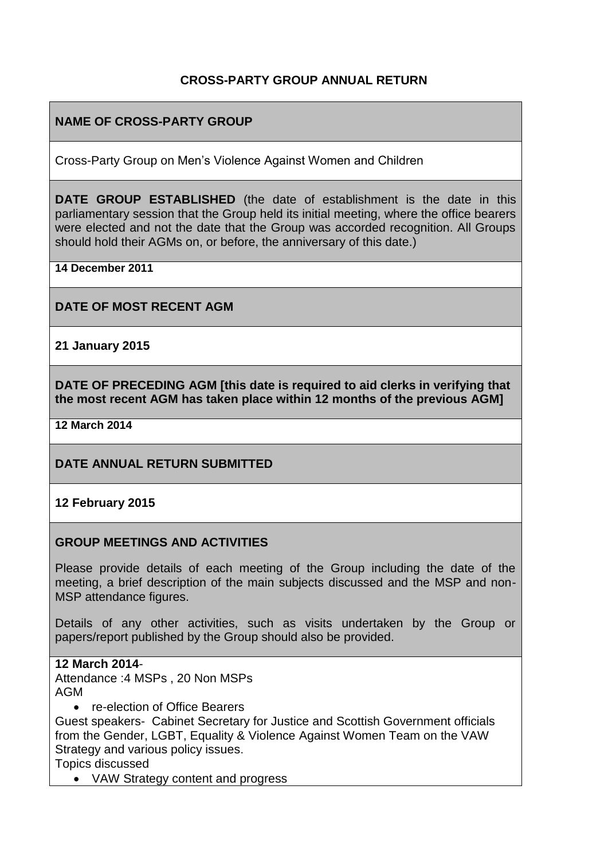## **CROSS-PARTY GROUP ANNUAL RETURN**

# **NAME OF CROSS-PARTY GROUP**

Cross-Party Group on Men's Violence Against Women and Children

**DATE GROUP ESTABLISHED** (the date of establishment is the date in this parliamentary session that the Group held its initial meeting, where the office bearers were elected and not the date that the Group was accorded recognition. All Groups should hold their AGMs on, or before, the anniversary of this date.)

**14 December 2011**

**DATE OF MOST RECENT AGM**

**21 January 2015**

**DATE OF PRECEDING AGM [this date is required to aid clerks in verifying that the most recent AGM has taken place within 12 months of the previous AGM]**

**12 March 2014**

## **DATE ANNUAL RETURN SUBMITTED**

#### **12 February 2015**

#### **GROUP MEETINGS AND ACTIVITIES**

Please provide details of each meeting of the Group including the date of the meeting, a brief description of the main subjects discussed and the MSP and non-MSP attendance figures.

Details of any other activities, such as visits undertaken by the Group or papers/report published by the Group should also be provided.

#### **12 March 2014**-

Attendance :4 MSPs , 20 Non MSPs AGM

• re-election of Office Bearers

Guest speakers- Cabinet Secretary for Justice and Scottish Government officials from the Gender, LGBT, Equality & Violence Against Women Team on the VAW Strategy and various policy issues.

Topics discussed

• VAW Strategy content and progress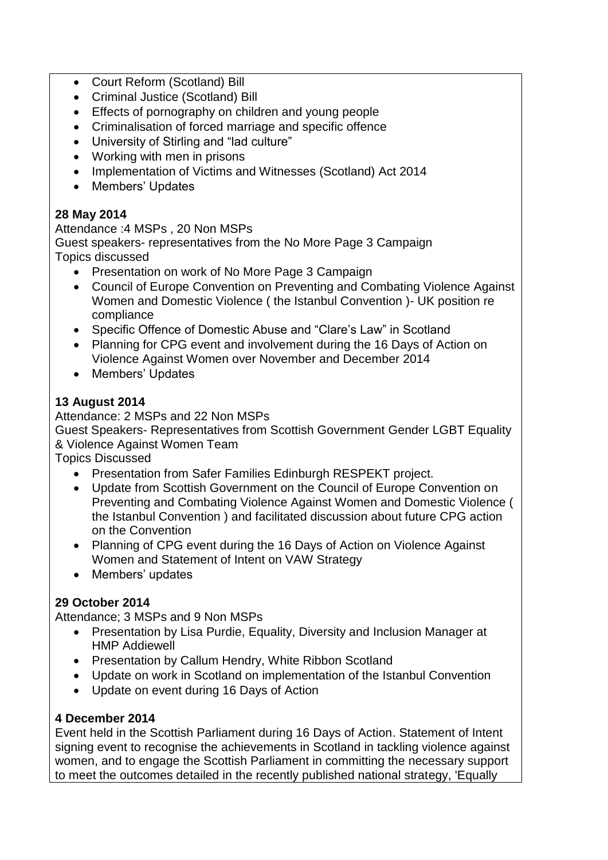- Court Reform (Scotland) Bill
- Criminal Justice (Scotland) Bill
- Effects of pornography on children and young people
- Criminalisation of forced marriage and specific offence
- University of Stirling and "lad culture"
- Working with men in prisons
- Implementation of Victims and Witnesses (Scotland) Act 2014
- Members' Updates

# **28 May 2014**

Attendance :4 MSPs , 20 Non MSPs Guest speakers- representatives from the No More Page 3 Campaign Topics discussed

- Presentation on work of No More Page 3 Campaign
- Council of Europe Convention on Preventing and Combating Violence Against Women and Domestic Violence ( the Istanbul Convention )- UK position re compliance
- Specific Offence of Domestic Abuse and "Clare's Law" in Scotland
- Planning for CPG event and involvement during the 16 Days of Action on Violence Against Women over November and December 2014
- Members' Updates

# **13 August 2014**

Attendance: 2 MSPs and 22 Non MSPs

Guest Speakers- Representatives from Scottish Government Gender LGBT Equality & Violence Against Women Team

Topics Discussed

- Presentation from Safer Families Edinburgh RESPEKT project.
- Update from Scottish Government on the Council of Europe Convention on Preventing and Combating Violence Against Women and Domestic Violence ( the Istanbul Convention ) and facilitated discussion about future CPG action on the Convention
- Planning of CPG event during the 16 Days of Action on Violence Against Women and Statement of Intent on VAW Strategy
- Members' updates

# **29 October 2014**

Attendance; 3 MSPs and 9 Non MSPs

- Presentation by Lisa Purdie, Equality, Diversity and Inclusion Manager at HMP Addiewell
- Presentation by Callum Hendry, White Ribbon Scotland
- Update on work in Scotland on implementation of the Istanbul Convention
- Update on event during 16 Days of Action

## **4 December 2014**

Event held in the Scottish Parliament during 16 Days of Action. Statement of Intent signing event to recognise the achievements in Scotland in tackling violence against women, and to engage the Scottish Parliament in committing the necessary support to meet the outcomes detailed in the recently published national strategy, 'Equally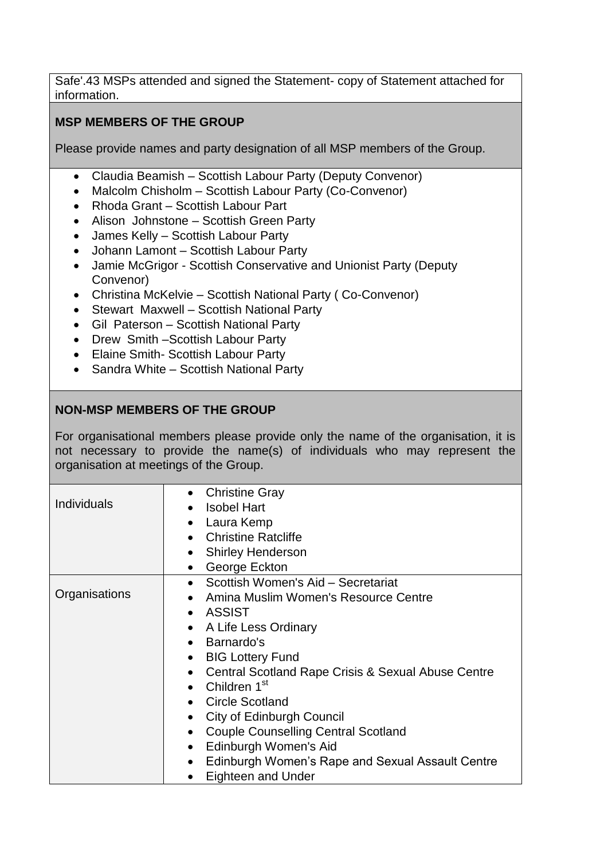Safe'.43 MSPs attended and signed the Statement- copy of Statement attached for information.

# **MSP MEMBERS OF THE GROUP**

Please provide names and party designation of all MSP members of the Group.

- Claudia Beamish Scottish Labour Party (Deputy Convenor)
- Malcolm Chisholm Scottish Labour Party (Co-Convenor)
- Rhoda Grant Scottish Labour Part
- Alison Johnstone Scottish Green Party
- James Kelly Scottish Labour Party
- Johann Lamont Scottish Labour Party
- Jamie McGrigor Scottish Conservative and Unionist Party (Deputy) Convenor)
- Christina McKelvie Scottish National Party ( Co-Convenor)
- Stewart Maxwell Scottish National Party
- Gil Paterson Scottish National Party
- Drew Smith Scottish Labour Party
- Elaine Smith- Scottish Labour Party
- Sandra White Scottish National Party

# **NON-MSP MEMBERS OF THE GROUP**

For organisational members please provide only the name of the organisation, it is not necessary to provide the name(s) of individuals who may represent the organisation at meetings of the Group.

|                    | <b>Christine Gray</b>                                         |
|--------------------|---------------------------------------------------------------|
| <b>Individuals</b> | <b>Isobel Hart</b>                                            |
|                    | Laura Kemp                                                    |
|                    | <b>Christine Ratcliffe</b><br>$\bullet$                       |
|                    | <b>Shirley Henderson</b>                                      |
|                    | George Eckton<br>$\bullet$                                    |
| Organisations      | Scottish Women's Aid - Secretariat                            |
|                    | Amina Muslim Women's Resource Centre<br>$\bullet$             |
|                    | ASSIST<br>$\bullet$                                           |
|                    | A Life Less Ordinary<br>$\bullet$                             |
|                    | Barnardo's<br>$\bullet$                                       |
|                    | <b>BIG Lottery Fund</b><br>$\bullet$                          |
|                    | Central Scotland Rape Crisis & Sexual Abuse Centre            |
|                    | Children 1 <sup>st</sup>                                      |
|                    | <b>Circle Scotland</b>                                        |
|                    | <b>City of Edinburgh Council</b><br>$\bullet$                 |
|                    | <b>Couple Counselling Central Scotland</b><br>$\bullet$       |
|                    | Edinburgh Women's Aid<br>$\bullet$                            |
|                    | Edinburgh Women's Rape and Sexual Assault Centre<br>$\bullet$ |
|                    | Eighteen and Under                                            |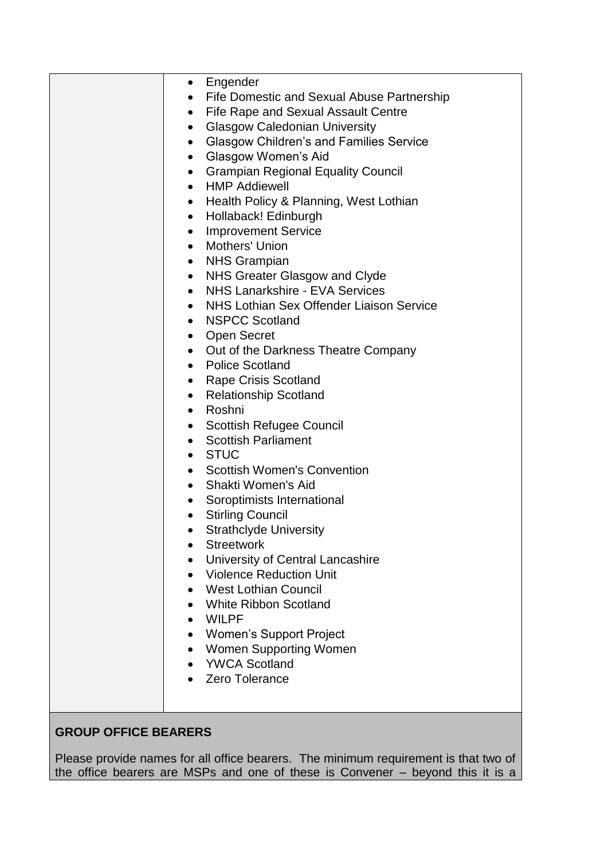| $\bullet$ | Engender                                              |
|-----------|-------------------------------------------------------|
| $\bullet$ | Fife Domestic and Sexual Abuse Partnership            |
| $\bullet$ | Fife Rape and Sexual Assault Centre                   |
| $\bullet$ | <b>Glasgow Caledonian University</b>                  |
| $\bullet$ | <b>Glasgow Children's and Families Service</b>        |
| $\bullet$ | Glasgow Women's Aid                                   |
| $\bullet$ | <b>Grampian Regional Equality Council</b>             |
| $\bullet$ | <b>HMP Addiewell</b>                                  |
| $\bullet$ | Health Policy & Planning, West Lothian                |
| $\bullet$ | Hollaback! Edinburgh                                  |
| $\bullet$ | <b>Improvement Service</b>                            |
| $\bullet$ | Mothers' Union                                        |
| $\bullet$ | <b>NHS Grampian</b>                                   |
| $\bullet$ | NHS Greater Glasgow and Clyde                         |
| $\bullet$ | NHS Lanarkshire - EVA Services                        |
| $\bullet$ | NHS Lothian Sex Offender Liaison Service              |
| $\bullet$ | <b>NSPCC Scotland</b>                                 |
| $\bullet$ | <b>Open Secret</b>                                    |
|           | • Out of the Darkness Theatre Company                 |
| $\bullet$ | <b>Police Scotland</b>                                |
| $\bullet$ | <b>Rape Crisis Scotland</b>                           |
| $\bullet$ | <b>Relationship Scotland</b>                          |
| $\bullet$ | Roshni                                                |
| $\bullet$ | <b>Scottish Refugee Council</b>                       |
| $\bullet$ | <b>Scottish Parliament</b>                            |
| $\bullet$ | <b>STUC</b>                                           |
|           | <b>Scottish Women's Convention</b>                    |
| $\bullet$ | Shakti Women's Aid                                    |
| $\bullet$ | Soroptimists International                            |
| $\bullet$ | <b>Stirling Council</b>                               |
|           | <b>Strathclyde University</b>                         |
|           | <b>Streetwork</b>                                     |
| $\bullet$ | University of Central Lancashire                      |
|           | <b>Violence Reduction Unit</b>                        |
|           | West Lothian Council                                  |
|           | <b>White Ribbon Scotland</b>                          |
| $\bullet$ | WILPF                                                 |
| $\bullet$ | <b>Women's Support Project</b>                        |
|           | <b>Women Supporting Women</b><br><b>YWCA Scotland</b> |
|           | Zero Tolerance                                        |
|           |                                                       |
|           |                                                       |
|           |                                                       |

# **GROUP OFFICE BEARERS**

Please provide names for all office bearers. The minimum requirement is that two of the office bearers are MSPs and one of these is Convener – beyond this it is a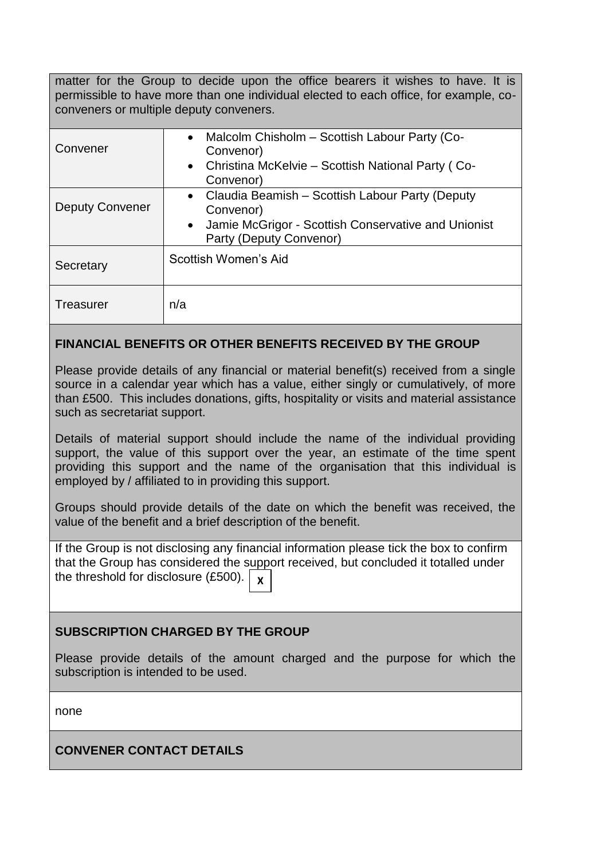matter for the Group to decide upon the office bearers it wishes to have. It is permissible to have more than one individual elected to each office, for example, coconveners or multiple deputy conveners.

| Convener               | Malcolm Chisholm - Scottish Labour Party (Co-<br>$\bullet$<br>Convenor)<br>• Christina McKelvie – Scottish National Party (Co-<br>Convenor)                 |
|------------------------|-------------------------------------------------------------------------------------------------------------------------------------------------------------|
| <b>Deputy Convener</b> | Claudia Beamish - Scottish Labour Party (Deputy<br>Convenor)<br>Jamie McGrigor - Scottish Conservative and Unionist<br>$\bullet$<br>Party (Deputy Convenor) |
| Secretary              | Scottish Women's Aid                                                                                                                                        |
| <b>Treasurer</b>       | n/a                                                                                                                                                         |

## **FINANCIAL BENEFITS OR OTHER BENEFITS RECEIVED BY THE GROUP**

Please provide details of any financial or material benefit(s) received from a single source in a calendar year which has a value, either singly or cumulatively, of more than £500. This includes donations, gifts, hospitality or visits and material assistance such as secretariat support.

Details of material support should include the name of the individual providing support, the value of this support over the year, an estimate of the time spent providing this support and the name of the organisation that this individual is employed by / affiliated to in providing this support.

Groups should provide details of the date on which the benefit was received, the value of the benefit and a brief description of the benefit.

If the Group is not disclosing any financial information please tick the box to confirm that the Group has considered the support received, but concluded it totalled under the threshold for disclosure  $(E500)$ . **X**

## **SUBSCRIPTION CHARGED BY THE GROUP**

Please provide details of the amount charged and the purpose for which the subscription is intended to be used.

none

## **CONVENER CONTACT DETAILS**